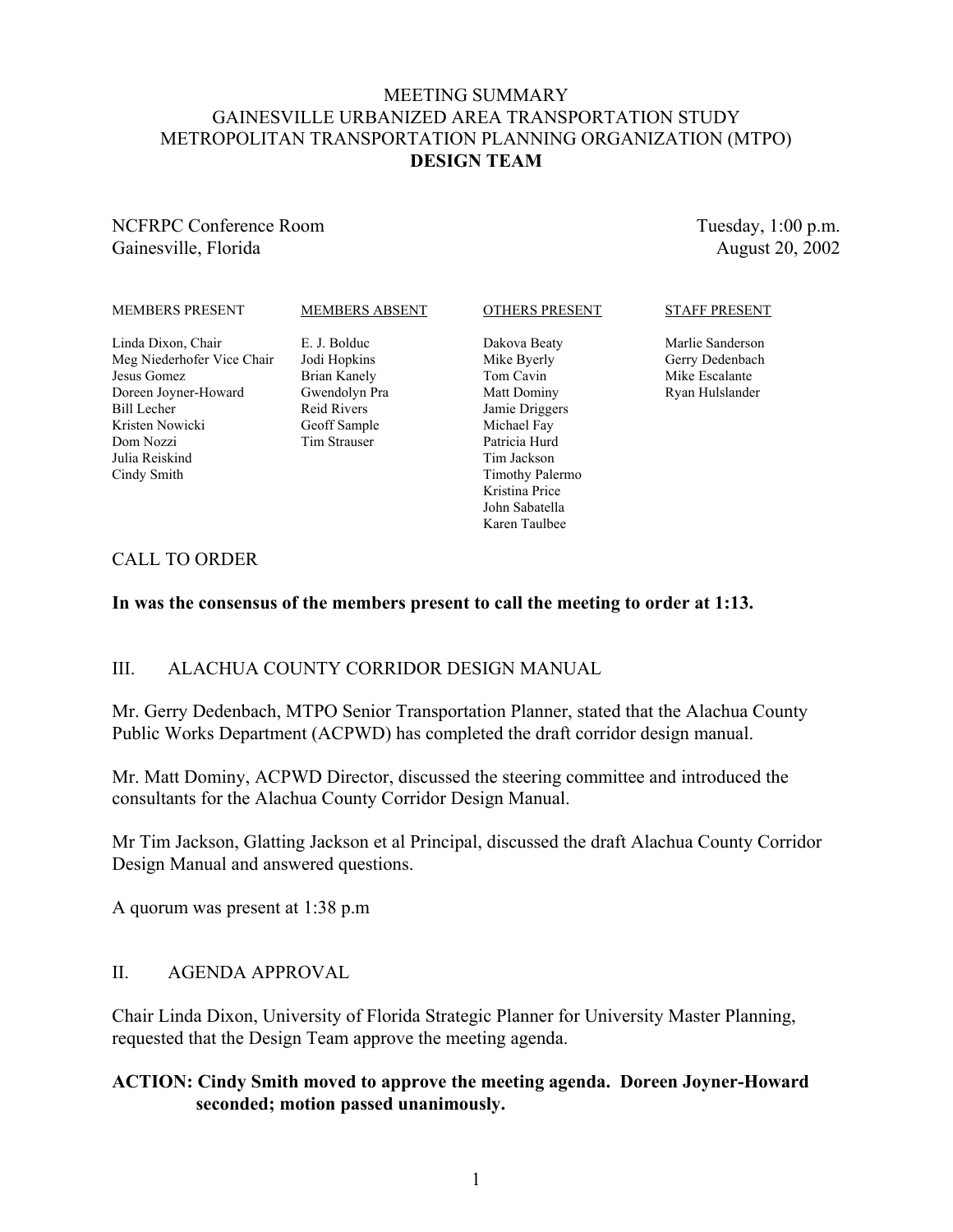### MEETING SUMMARY GAINESVILLE URBANIZED AREA TRANSPORTATION STUDY METROPOLITAN TRANSPORTATION PLANNING ORGANIZATION (MTPO) **DESIGN TEAM**

## NCFRPC Conference Room Gainesville, Florida

Tuesday, 1:00 p.m. August 20, 2002

### MEMBERS PRESENT

### MEMBERS ABSENT

Linda Dixon, Chair Meg Niederhofer Vice Chair Jesus Gomez Doreen Joyner-Howard Bill Lecher Kristen Nowicki Dom Nozzi Julia Reiskind Cindy Smith

E. J. Bolduc Jodi Hopkins Brian Kanely Gwendolyn Pra Reid Rivers Geoff Sample Tim Strauser

### OTHERS PRESENT

Dakova Beaty Mike Byerly Tom Cavin Matt Dominy Jamie Driggers Michael Fay Patricia Hurd Tim Jackson Timothy Palermo Kristina Price John Sabatella Karen Taulbee

### STAFF PRESENT

Marlie Sanderson Gerry Dedenbach Mike Escalante Ryan Hulslander

## CALL TO ORDER

### **In was the consensus of the members present to call the meeting to order at 1:13.**

## III. ALACHUA COUNTY CORRIDOR DESIGN MANUAL

Mr. Gerry Dedenbach, MTPO Senior Transportation Planner, stated that the Alachua County Public Works Department (ACPWD) has completed the draft corridor design manual.

Mr. Matt Dominy, ACPWD Director, discussed the steering committee and introduced the consultants for the Alachua County Corridor Design Manual.

Mr Tim Jackson, Glatting Jackson et al Principal, discussed the draft Alachua County Corridor Design Manual and answered questions.

A quorum was present at 1:38 p.m

### II. AGENDA APPROVAL

Chair Linda Dixon, University of Florida Strategic Planner for University Master Planning, requested that the Design Team approve the meeting agenda.

## **ACTION: Cindy Smith moved to approve the meeting agenda. Doreen Joyner-Howard seconded; motion passed unanimously.**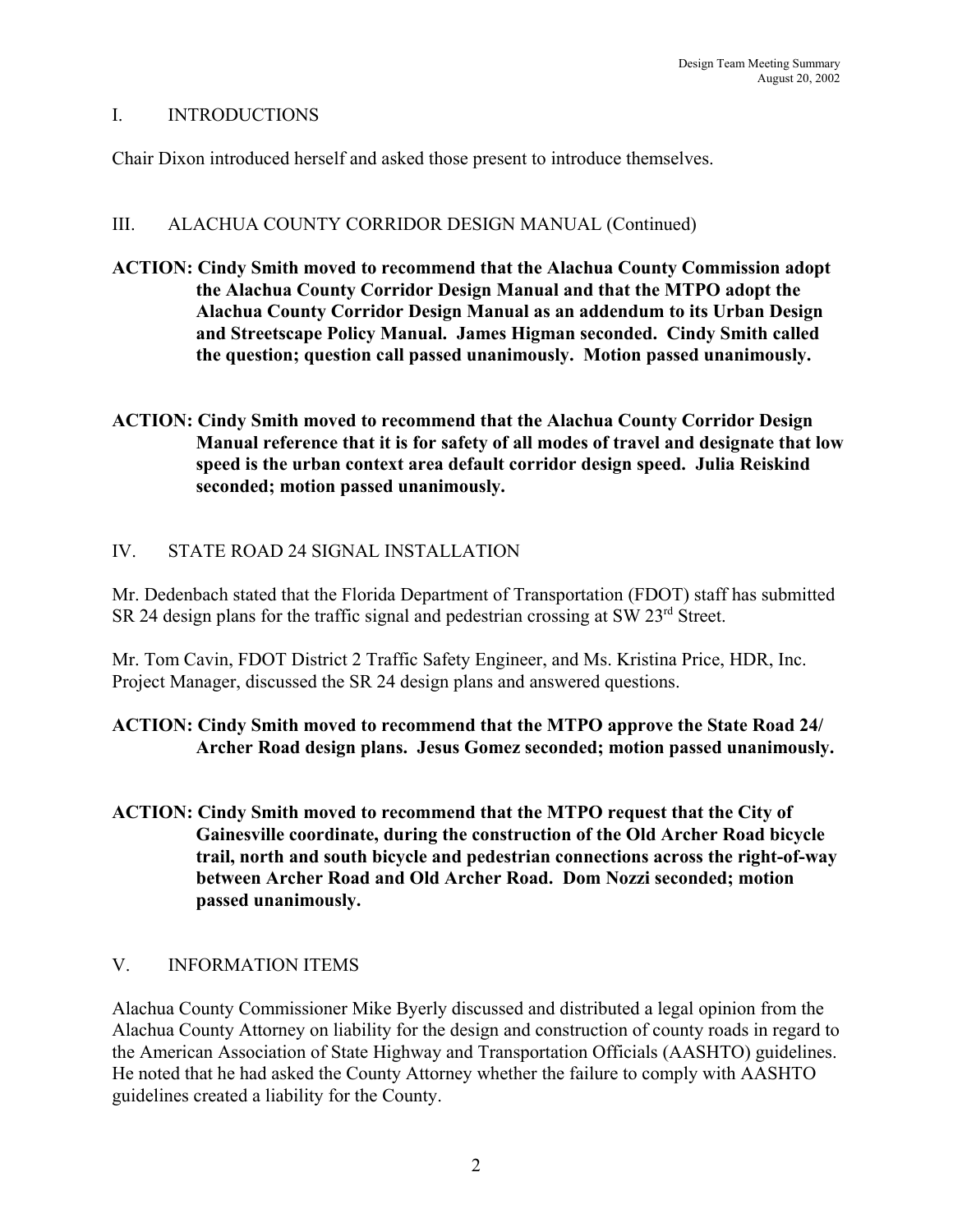## I. INTRODUCTIONS

Chair Dixon introduced herself and asked those present to introduce themselves.

### III. ALACHUA COUNTY CORRIDOR DESIGN MANUAL (Continued)

- **ACTION: Cindy Smith moved to recommend that the Alachua County Commission adopt the Alachua County Corridor Design Manual and that the MTPO adopt the Alachua County Corridor Design Manual as an addendum to its Urban Design and Streetscape Policy Manual. James Higman seconded. Cindy Smith called the question; question call passed unanimously. Motion passed unanimously.**
- **ACTION: Cindy Smith moved to recommend that the Alachua County Corridor Design Manual reference that it is for safety of all modes of travel and designate that low speed is the urban context area default corridor design speed. Julia Reiskind seconded; motion passed unanimously.**

## IV. STATE ROAD 24 SIGNAL INSTALLATION

Mr. Dedenbach stated that the Florida Department of Transportation (FDOT) staff has submitted SR 24 design plans for the traffic signal and pedestrian crossing at SW 23<sup>rd</sup> Street.

Mr. Tom Cavin, FDOT District 2 Traffic Safety Engineer, and Ms. Kristina Price, HDR, Inc. Project Manager, discussed the SR 24 design plans and answered questions.

# **ACTION: Cindy Smith moved to recommend that the MTPO approve the State Road 24/ Archer Road design plans. Jesus Gomez seconded; motion passed unanimously.**

**ACTION: Cindy Smith moved to recommend that the MTPO request that the City of Gainesville coordinate, during the construction of the Old Archer Road bicycle trail, north and south bicycle and pedestrian connections across the right-of-way between Archer Road and Old Archer Road. Dom Nozzi seconded; motion passed unanimously.**

## V. INFORMATION ITEMS

Alachua County Commissioner Mike Byerly discussed and distributed a legal opinion from the Alachua County Attorney on liability for the design and construction of county roads in regard to the American Association of State Highway and Transportation Officials (AASHTO) guidelines. He noted that he had asked the County Attorney whether the failure to comply with AASHTO guidelines created a liability for the County.